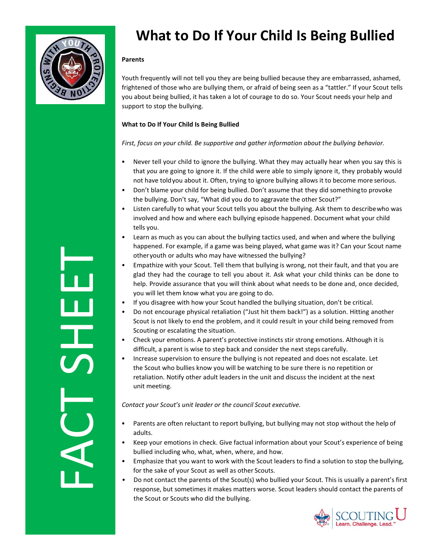

## **What to Do If Your Child Is Being Bullied**

## **Parents**

Youth frequently will not tell you they are being bullied because they are embarrassed, ashamed, frightened of those who are bullying them, or afraid of being seen as a "tattler." If your Scout tells you about being bullied, it has taken a lot of courage to do so. Your Scout needs your help and support to stop the bullying.

## **What to Do If Your Child Is Being Bullied**

*First, focus on your child. Be supportive and gather information about the bullying behavior.*

- Never tell your child to ignore the bullying. What they may actually hear when you say this is that *you* are going to ignore it. If the child were able to simply ignore it, they probably would not have toldyou about it. Often, trying to ignore bullying allows it to become more serious.
- *•* Don't blame your child for being bullied. Don't assume that they did somethingto provoke the bullying. Don't say, "What did you do to aggravate the other Scout?"
- *•* Listen carefully to what your Scout tells you about the bullying. Ask them to describewho was involved and how and where each bullying episode happened. Document what your child tells you.
- *•* Learn as much as you can about the bullying tactics used, and when and where the bullying happened. For example, if a game was being played, what game was it? Can your Scout name otheryouth or adults who may have witnessed the bullying?
- *•* Empathize with your Scout. Tell them that bullying is wrong, not their fault, and that you are glad they had the courage to tell you about it. Ask what your child thinks can be done to help. Provide assurance that you will think about what needs to be done and, once decided, you will let them know what you are going to do.
- *•* If you disagree with how your Scout handled the bullying situation, don't be critical.
- *•* Do not encourage physical retaliation ("Just hit them back!") as a solution. Hitting another Scout is not likely to end the problem, and it could result in your child being removed from Scouting or escalating the situation.
- Check your emotions. A parent's protective instincts stir strong emotions. Although it is difficult, a parent is wise to step back and consider the next steps carefully.
- Increase supervision to ensure the bullying is not repeated and does not escalate. Let the Scout who bullies know you will be watching to be sure there is no repetition or retaliation. Notify other adult leaders in the unit and discuss the incident at the next unit meeting.

*Contact your Scout's unit leader or the council Scout executive.*

- Parents are often reluctant to report bullying, but bullying may not stop without the help of adults.
- *•* Keep your emotions in check. Give factual information about your Scout's experience of being bullied including who, what, when, where, and how.
- *•* Emphasize that you want to work with the Scout leaders to find a solution to stop the bullying, for the sake of your Scout as well as other Scouts.
- *•* Do not contact the parents of the Scout(s) who bullied your Scout. This is usually a parent's first response, but sometimes it makes matters worse. Scout leaders should contact the parents of the Scout or Scouts who did the bullying.



FACT SHEET